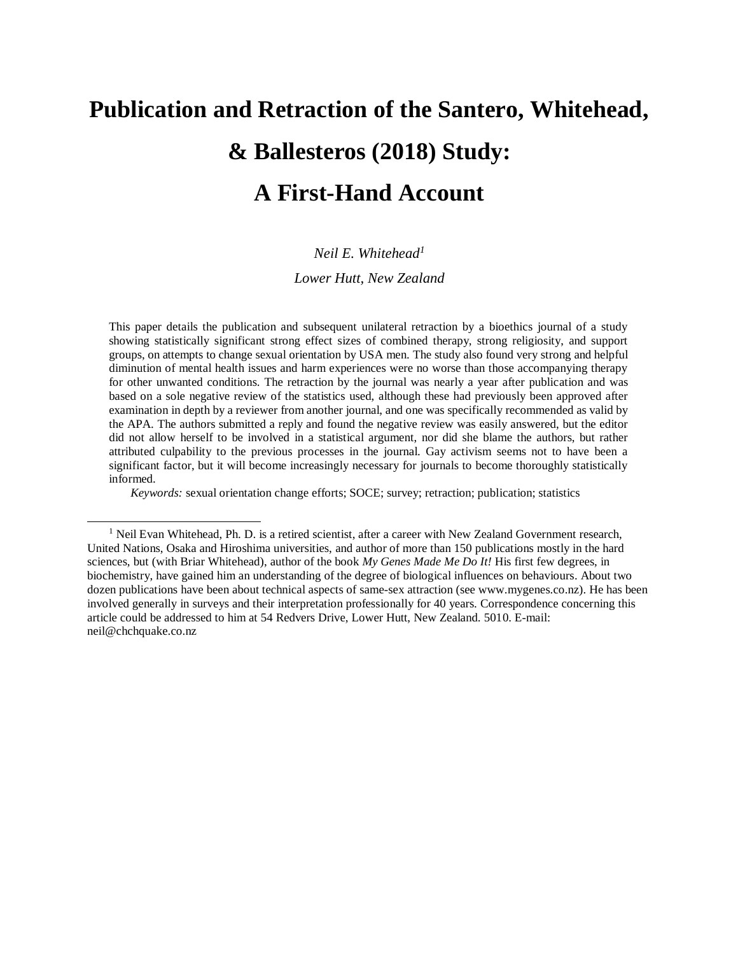## **Publication and Retraction of the Santero, Whitehead, & Ballesteros (2018) Study: A First-Hand Account**

## *Neil E. Whitehead<sup>1</sup>*

## *Lower Hutt, New Zealand*

This paper details the publication and subsequent unilateral retraction by a bioethics journal of a study showing statistically significant strong effect sizes of combined therapy, strong religiosity, and support groups, on attempts to change sexual orientation by USA men. The study also found very strong and helpful diminution of mental health issues and harm experiences were no worse than those accompanying therapy for other unwanted conditions. The retraction by the journal was nearly a year after publication and was based on a sole negative review of the statistics used, although these had previously been approved after examination in depth by a reviewer from another journal, and one was specifically recommended as valid by the APA. The authors submitted a reply and found the negative review was easily answered, but the editor did not allow herself to be involved in a statistical argument, nor did she blame the authors, but rather attributed culpability to the previous processes in the journal. Gay activism seems not to have been a significant factor, but it will become increasingly necessary for journals to become thoroughly statistically informed.

*Keywords:* sexual orientation change efforts; SOCE; survey; retraction; publication; statistics

<sup>&</sup>lt;sup>1</sup> Neil Evan Whitehead, Ph. D. is a retired scientist, after a career with New Zealand Government research, United Nations, Osaka and Hiroshima universities, and author of more than 150 publications mostly in the hard sciences, but (with Briar Whitehead), author of the book *My Genes Made Me Do It!* His first few degrees, in biochemistry, have gained him an understanding of the degree of biological influences on behaviours. About two dozen publications have been about technical aspects of same-sex attraction (see www.mygenes.co.nz). He has been involved generally in surveys and their interpretation professionally for 40 years. Correspondence concerning this article could be addressed to him at 54 Redvers Drive, Lower Hutt, New Zealand. 5010. E-mail: [neil@chchquake.co.nz](mailto:neil@chchquake.co.nz)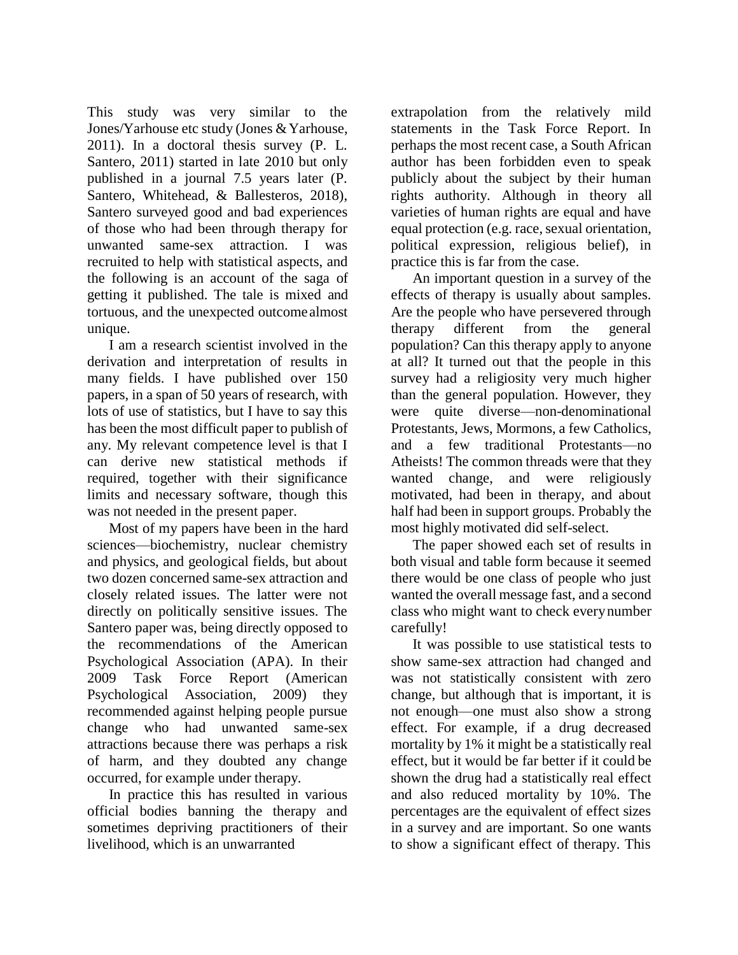This study was very similar to the Jones/Yarhouse etc study (Jones & Yarhouse, 2011). In a doctoral thesis survey (P. L. Santero, 2011) started in late 2010 but only published in a journal 7.5 years later (P. Santero, Whitehead, & Ballesteros, 2018), Santero surveyed good and bad experiences of those who had been through therapy for unwanted same-sex attraction. I was recruited to help with statistical aspects, and the following is an account of the saga of getting it published. The tale is mixed and tortuous, and the unexpected outcomealmost unique.

I am a research scientist involved in the derivation and interpretation of results in many fields. I have published over 150 papers, in a span of 50 years of research, with lots of use of statistics, but I have to say this has been the most difficult paper to publish of any. My relevant competence level is that I can derive new statistical methods if required, together with their significance limits and necessary software, though this was not needed in the present paper.

Most of my papers have been in the hard sciences—biochemistry, nuclear chemistry and physics, and geological fields, but about two dozen concerned same-sex attraction and closely related issues. The latter were not directly on politically sensitive issues. The Santero paper was, being directly opposed to the recommendations of the American Psychological Association (APA). In their 2009 Task Force Report (American Psychological Association, 2009) they recommended against helping people pursue change who had unwanted same-sex attractions because there was perhaps a risk of harm, and they doubted any change occurred, for example under therapy.

In practice this has resulted in various official bodies banning the therapy and sometimes depriving practitioners of their livelihood, which is an unwarranted

extrapolation from the relatively mild statements in the Task Force Report. In perhaps the most recent case, a South African author has been forbidden even to speak publicly about the subject by their human rights authority. Although in theory all varieties of human rights are equal and have equal protection (e.g. race, sexual orientation, political expression, religious belief), in practice this is far from the case.

An important question in a survey of the effects of therapy is usually about samples. Are the people who have persevered through therapy different from the general population? Can this therapy apply to anyone at all? It turned out that the people in this survey had a religiosity very much higher than the general population. However, they were quite diverse—non-denominational Protestants, Jews, Mormons, a few Catholics, and a few traditional Protestants—no Atheists! The common threads were that they wanted change, and were religiously motivated, had been in therapy, and about half had been in support groups. Probably the most highly motivated did self-select.

The paper showed each set of results in both visual and table form because it seemed there would be one class of people who just wanted the overall message fast, and a second class who might want to check everynumber carefully!

It was possible to use statistical tests to show same-sex attraction had changed and was not statistically consistent with zero change, but although that is important, it is not enough—one must also show a strong effect. For example, if a drug decreased mortality by 1% it might be a statistically real effect, but it would be far better if it could be shown the drug had a statistically real effect and also reduced mortality by 10%. The percentages are the equivalent of effect sizes in a survey and are important. So one wants to show a significant effect of therapy. This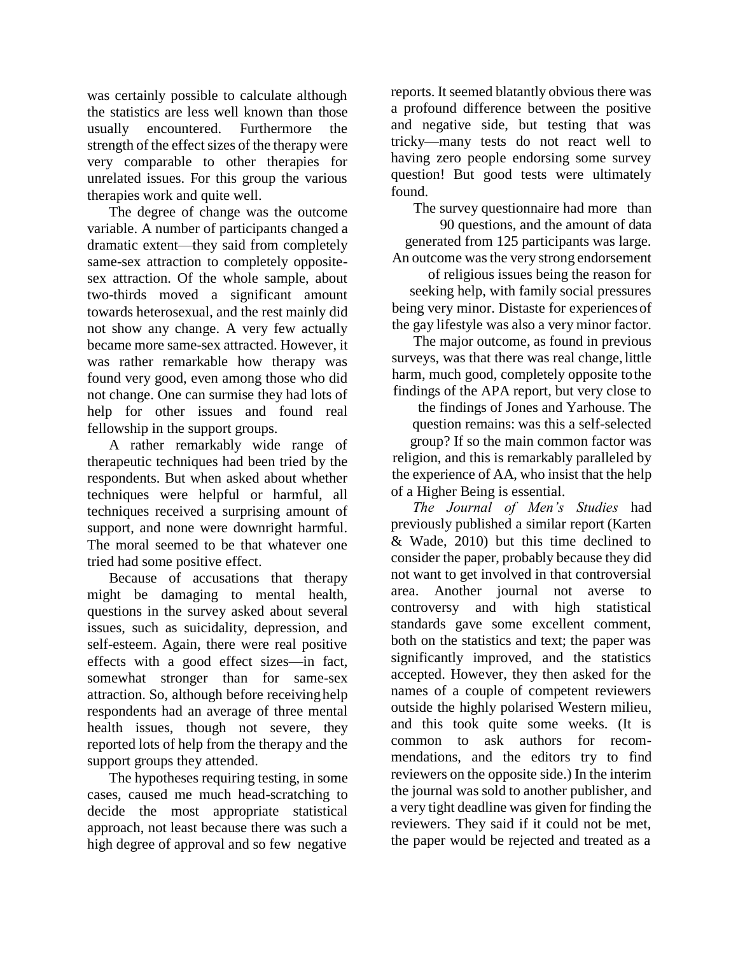was certainly possible to calculate although the statistics are less well known than those usually encountered. Furthermore the strength of the effect sizes of the therapy were very comparable to other therapies for unrelated issues. For this group the various therapies work and quite well.

The degree of change was the outcome variable. A number of participants changed a dramatic extent—they said from completely same-sex attraction to completely oppositesex attraction. Of the whole sample, about two-thirds moved a significant amount towards heterosexual, and the rest mainly did not show any change. A very few actually became more same-sex attracted. However, it was rather remarkable how therapy was found very good, even among those who did not change. One can surmise they had lots of help for other issues and found real fellowship in the support groups.

A rather remarkably wide range of therapeutic techniques had been tried by the respondents. But when asked about whether techniques were helpful or harmful, all techniques received a surprising amount of support, and none were downright harmful. The moral seemed to be that whatever one tried had some positive effect.

Because of accusations that therapy might be damaging to mental health, questions in the survey asked about several issues, such as suicidality, depression, and self-esteem. Again, there were real positive effects with a good effect sizes—in fact, somewhat stronger than for same-sex attraction. So, although before receivinghelp respondents had an average of three mental health issues, though not severe, they reported lots of help from the therapy and the support groups they attended.

The hypotheses requiring testing, in some cases, caused me much head-scratching to decide the most appropriate statistical approach, not least because there was such a high degree of approval and so few negative

reports. It seemed blatantly obvious there was a profound difference between the positive and negative side, but testing that was tricky—many tests do not react well to having zero people endorsing some survey question! But good tests were ultimately found.

The survey questionnaire had more than

90 questions, and the amount of data generated from 125 participants was large. An outcome was the very strong endorsement

of religious issues being the reason for seeking help, with family social pressures being very minor. Distaste for experiences of the gay lifestyle was also a very minor factor.

The major outcome, as found in previous surveys, was that there was real change, little harm, much good, completely opposite tothe findings of the APA report, but very close to

the findings of Jones and Yarhouse. The question remains: was this a self-selected group? If so the main common factor was religion, and this is remarkably paralleled by the experience of AA, who insist that the help of a Higher Being is essential.

*The Journal of Men's Studies* had previously published a similar report (Karten & Wade, 2010) but this time declined to consider the paper, probably because they did not want to get involved in that controversial area. Another journal not averse to controversy and with high statistical standards gave some excellent comment, both on the statistics and text; the paper was significantly improved, and the statistics accepted. However, they then asked for the names of a couple of competent reviewers outside the highly polarised Western milieu, and this took quite some weeks. (It is common to ask authors for recommendations, and the editors try to find reviewers on the opposite side.) In the interim the journal was sold to another publisher, and a very tight deadline was given for finding the reviewers. They said if it could not be met, the paper would be rejected and treated as a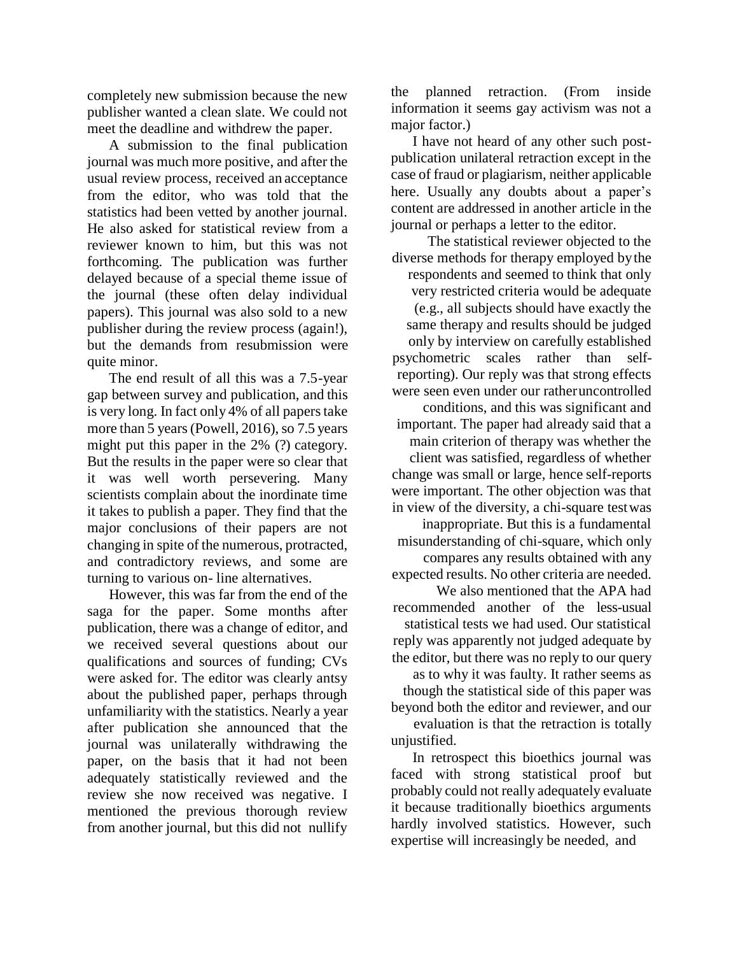completely new submission because the new publisher wanted a clean slate. We could not meet the deadline and withdrew the paper.

A submission to the final publication journal was much more positive, and after the usual review process, received an acceptance from the editor, who was told that the statistics had been vetted by another journal. He also asked for statistical review from a reviewer known to him, but this was not forthcoming. The publication was further delayed because of a special theme issue of the journal (these often delay individual papers). This journal was also sold to a new publisher during the review process (again!), but the demands from resubmission were quite minor.

The end result of all this was a 7.5-year gap between survey and publication, and this is very long. In fact only 4% of all paperstake more than 5 years (Powell, 2016), so 7.5 years might put this paper in the 2% (?) category. But the results in the paper were so clear that it was well worth persevering. Many scientists complain about the inordinate time it takes to publish a paper. They find that the major conclusions of their papers are not changing in spite of the numerous, protracted, and contradictory reviews, and some are turning to various on- line alternatives.

However, this was far from the end of the saga for the paper. Some months after publication, there was a change of editor, and we received several questions about our qualifications and sources of funding; CVs were asked for. The editor was clearly antsy about the published paper, perhaps through unfamiliarity with the statistics. Nearly a year after publication she announced that the journal was unilaterally withdrawing the paper, on the basis that it had not been adequately statistically reviewed and the review she now received was negative. I mentioned the previous thorough review from another journal, but this did not nullify

the planned retraction. (From inside information it seems gay activism was not a major factor.)

I have not heard of any other such postpublication unilateral retraction except in the case of fraud or plagiarism, neither applicable here. Usually any doubts about a paper's content are addressed in another article in the journal or perhaps a letter to the editor.

The statistical reviewer objected to the diverse methods for therapy employed bythe respondents and seemed to think that only very restricted criteria would be adequate (e.g., all subjects should have exactly the same therapy and results should be judged only by interview on carefully established psychometric scales rather than selfreporting). Our reply was that strong effects were seen even under our ratheruncontrolled conditions, and this was significant and important. The paper had already said that a main criterion of therapy was whether the client was satisfied, regardless of whether change was small or large, hence self-reports were important. The other objection was that in view of the diversity, a chi-square testwas inappropriate. But this is a fundamental misunderstanding of chi-square, which only compares any results obtained with any expected results. No other criteria are needed.

We also mentioned that the APA had recommended another of the less-usual statistical tests we had used. Our statistical reply was apparently not judged adequate by the editor, but there was no reply to our query

as to why it was faulty. It rather seems as though the statistical side of this paper was beyond both the editor and reviewer, and our

evaluation is that the retraction is totally unjustified.

In retrospect this bioethics journal was faced with strong statistical proof but probably could not really adequately evaluate it because traditionally bioethics arguments hardly involved statistics. However, such expertise will increasingly be needed, and